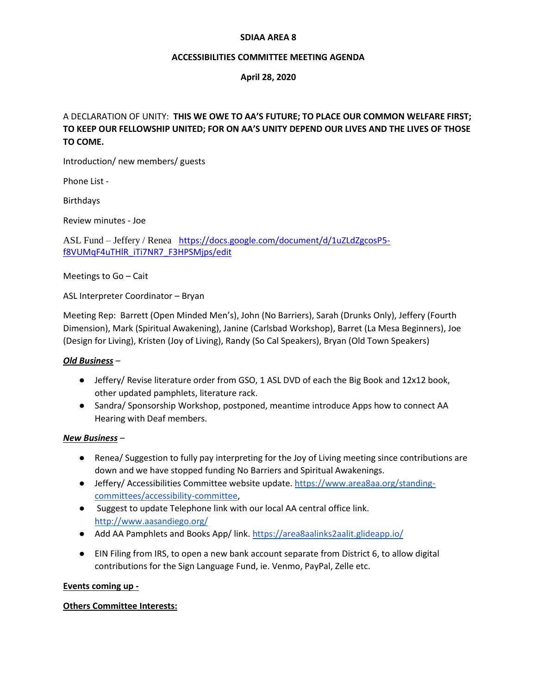#### **SDIAA AREA 8**

#### **ACCESSIBILITIES COMMITTEE MEETING AGENDA**

## **April 28, 2020**

# A DECLARATION OF UNITY: **THIS WE OWE TO AA'S FUTURE; TO PLACE OUR COMMON WELFARE FIRST; TO KEEP OUR FELLOWSHIP UNITED; FOR ON AA'S UNITY DEPEND OUR LIVES AND THE LIVES OF THOSE TO COME.**

Introduction/ new members/ guests

Phone List -

Birthdays

Review minutes - Joe

ASL Fund – Jeffery / Renea [https://docs.google.com/document/d/1uZLdZgcosP5](https://docs.google.com/document/d/1uZLdZgcosP5-f8VUMqF4uTHlR_iTi7NR7_F3HPSMjps/edit) [f8VUMqF4uTHlR\\_iTi7NR7\\_F3HPSMjps/edit](https://docs.google.com/document/d/1uZLdZgcosP5-f8VUMqF4uTHlR_iTi7NR7_F3HPSMjps/edit)

Meetings to Go – Cait

ASL Interpreter Coordinator – Bryan

Meeting Rep: Barrett (Open Minded Men's), John (No Barriers), Sarah (Drunks Only), Jeffery (Fourth Dimension), Mark (Spiritual Awakening), Janine (Carlsbad Workshop), Barret (La Mesa Beginners), Joe (Design for Living), Kristen (Joy of Living), Randy (So Cal Speakers), Bryan (Old Town Speakers)

#### *Old Business* –

- Jeffery/ Revise literature order from GSO, 1 ASL DVD of each the Big Book and 12x12 book, other updated pamphlets, literature rack.
- Sandra/ Sponsorship Workshop, postponed, meantime introduce Apps how to connect AA Hearing with Deaf members.

#### *New Business* –

- Renea/ Suggestion to fully pay interpreting for the Joy of Living meeting since contributions are down and we have stopped funding No Barriers and Spiritual Awakenings.
- Jeffery/ Accessibilities Committee website update. [https://www.area8aa.org/standing](https://www.area8aa.org/standing-committees/accessibility-committee)[committees/accessibility-committee,](https://www.area8aa.org/standing-committees/accessibility-committee)
- Suggest to update Telephone link with our local AA central office link. <http://www.aasandiego.org/>
- Add AA Pamphlets and Books App/ link.<https://area8aalinks2aalit.glideapp.io/>
- EIN Filing from IRS, to open a new bank account separate from District 6, to allow digital contributions for the Sign Language Fund, ie. Venmo, PayPal, Zelle etc.

#### **Events coming up -**

## **Others Committee Interests:**